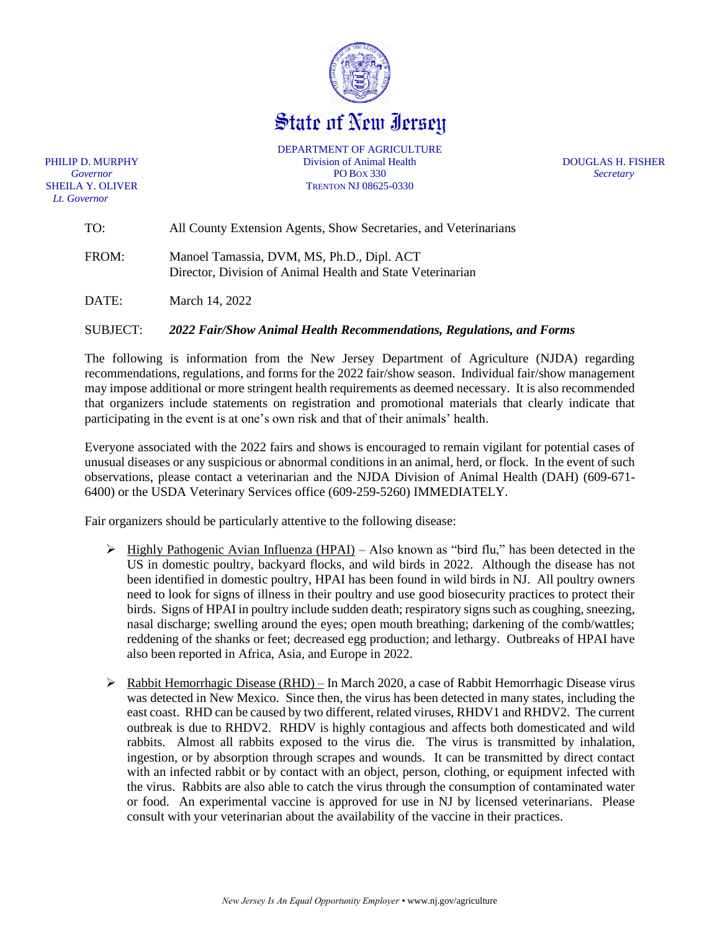

State of New Iersey

*Lt. Governor*

DEPARTMENT OF AGRICULTURE PHILIP D. MURPHY Division of Animal Health DOUGLAS H. FISHER *Governor* PO BOX 330 *Secretary* SHEILA Y. OLIVER TRENTON NJ 08625-0330

| TO:   | All County Extension Agents, Show Secretaries, and Veterinarians                                         |
|-------|----------------------------------------------------------------------------------------------------------|
| FROM: | Manoel Tamassia, DVM, MS, Ph.D., Dipl. ACT<br>Director, Division of Animal Health and State Veterinarian |

DATE: March 14, 2022

### SUBJECT: *2022 Fair/Show Animal Health Recommendations, Regulations, and Forms*

The following is information from the New Jersey Department of Agriculture (NJDA) regarding recommendations, regulations, and forms for the 2022 fair/show season. Individual fair/show management may impose additional or more stringent health requirements as deemed necessary. It is also recommended that organizers include statements on registration and promotional materials that clearly indicate that participating in the event is at one's own risk and that of their animals' health.

Everyone associated with the 2022 fairs and shows is encouraged to remain vigilant for potential cases of unusual diseases or any suspicious or abnormal conditions in an animal, herd, or flock. In the event of such observations, please contact a veterinarian and the NJDA Division of Animal Health (DAH) (609-671- 6400) or the USDA Veterinary Services office (609-259-5260) IMMEDIATELY.

Fair organizers should be particularly attentive to the following disease:

- ➢ Highly Pathogenic Avian Influenza (HPAI) Also known as "bird flu," has been detected in the US in domestic poultry, backyard flocks, and wild birds in 2022. Although the disease has not been identified in domestic poultry, HPAI has been found in wild birds in NJ. All poultry owners need to look for signs of illness in their poultry and use good biosecurity practices to protect their birds. Signs of HPAI in poultry include sudden death; respiratory signs such as coughing, sneezing, nasal discharge; swelling around the eyes; open mouth breathing; darkening of the comb/wattles; reddening of the shanks or feet; decreased egg production; and lethargy. Outbreaks of HPAI have also been reported in Africa, Asia, and Europe in 2022.
- $\triangleright$  Rabbit Hemorrhagic Disease (RHD) In March 2020, a case of Rabbit Hemorrhagic Disease virus was detected in New Mexico. Since then, the virus has been detected in many states, including the east coast. RHD can be caused by two different, related viruses, RHDV1 and RHDV2. The current outbreak is due to RHDV2. RHDV is highly contagious and affects both domesticated and wild rabbits. Almost all rabbits exposed to the virus die. The virus is transmitted by inhalation, ingestion, or by absorption through scrapes and wounds. It can be transmitted by direct contact with an infected rabbit or by contact with an object, person, clothing, or equipment infected with the virus. Rabbits are also able to catch the virus through the consumption of contaminated water or food. An experimental vaccine is approved for use in NJ by licensed veterinarians. Please consult with your veterinarian about the availability of the vaccine in their practices.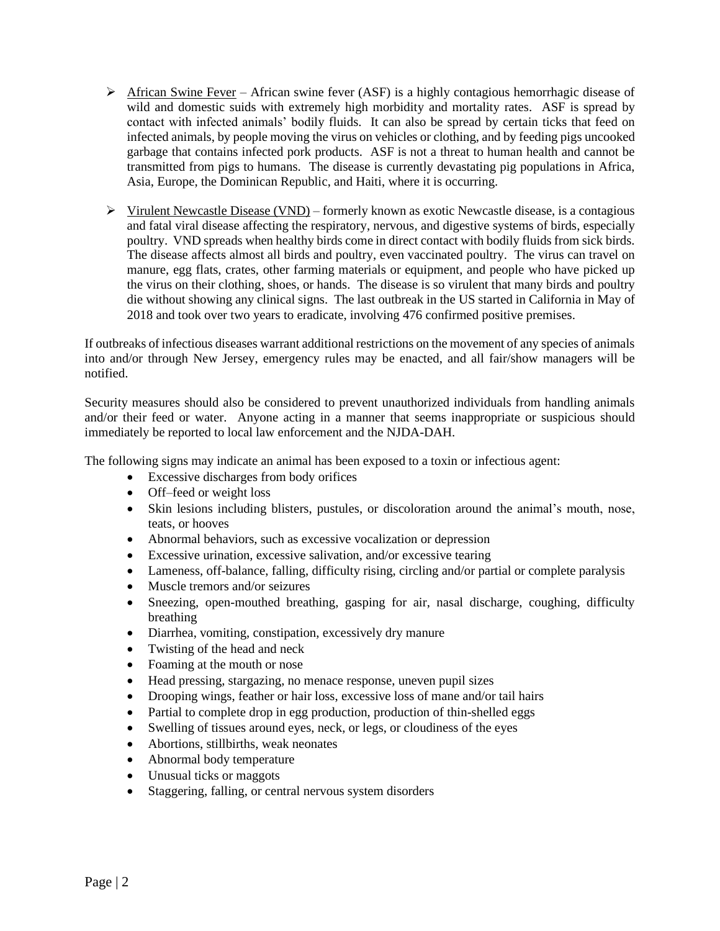- $\triangleright$  African Swine Fever African swine fever (ASF) is a highly contagious hemorrhagic disease of wild and domestic suids with extremely high morbidity and mortality rates. ASF is spread by contact with infected animals' bodily fluids. It can also be spread by certain ticks that feed on infected animals, by people moving the virus on vehicles or clothing, and by feeding pigs uncooked garbage that contains infected pork products. ASF is not a threat to human health and cannot be transmitted from pigs to humans. The disease is currently devastating pig populations in Africa, Asia, Europe, the Dominican Republic, and Haiti, where it is occurring.
- $\triangleright$  Virulent Newcastle Disease (VND) formerly known as exotic Newcastle disease, is a contagious and fatal viral disease affecting the respiratory, nervous, and digestive systems of birds, especially poultry. VND spreads when healthy birds come in direct contact with bodily fluids from sick birds. The disease affects almost all birds and poultry, even vaccinated poultry. The virus can travel on manure, egg flats, crates, other farming materials or equipment, and people who have picked up the virus on their clothing, shoes, or hands. The disease is so virulent that many birds and poultry die without showing any clinical signs. The last outbreak in the US started in California in May of 2018 and took over two years to eradicate, involving 476 confirmed positive premises.

If outbreaks of infectious diseases warrant additional restrictions on the movement of any species of animals into and/or through New Jersey, emergency rules may be enacted, and all fair/show managers will be notified.

Security measures should also be considered to prevent unauthorized individuals from handling animals and/or their feed or water. Anyone acting in a manner that seems inappropriate or suspicious should immediately be reported to local law enforcement and the NJDA-DAH.

The following signs may indicate an animal has been exposed to a toxin or infectious agent:

- Excessive discharges from body orifices
- Off–feed or weight loss
- Skin lesions including blisters, pustules, or discoloration around the animal's mouth, nose, teats, or hooves
- Abnormal behaviors, such as excessive vocalization or depression
- Excessive urination, excessive salivation, and/or excessive tearing
- Lameness, off-balance, falling, difficulty rising, circling and/or partial or complete paralysis
- Muscle tremors and/or seizures
- Sneezing, open-mouthed breathing, gasping for air, nasal discharge, coughing, difficulty breathing
- Diarrhea, vomiting, constipation, excessively dry manure
- Twisting of the head and neck
- Foaming at the mouth or nose
- Head pressing, stargazing, no menace response, uneven pupil sizes
- Drooping wings, feather or hair loss, excessive loss of mane and/or tail hairs
- Partial to complete drop in egg production, production of thin-shelled eggs
- Swelling of tissues around eyes, neck, or legs, or cloudiness of the eyes
- Abortions, stillbirths, weak neonates
- Abnormal body temperature
- Unusual ticks or maggots
- Staggering, falling, or central nervous system disorders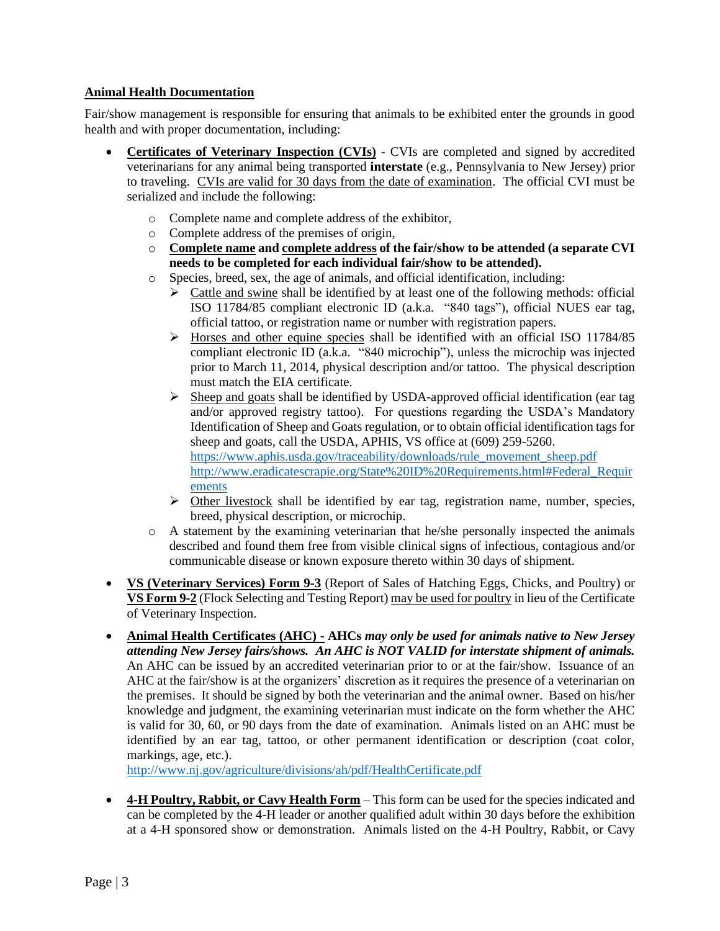## **Animal Health Documentation**

Fair/show management is responsible for ensuring that animals to be exhibited enter the grounds in good health and with proper documentation, including:

- **Certificates of Veterinary Inspection (CVIs)** CVIs are completed and signed by accredited veterinarians for any animal being transported **interstate** (e.g., Pennsylvania to New Jersey) prior to traveling. CVIs are valid for 30 days from the date of examination. The official CVI must be serialized and include the following:
	- o Complete name and complete address of the exhibitor,
	- o Complete address of the premises of origin,
	- o **Complete name and complete address of the fair/show to be attended (a separate CVI needs to be completed for each individual fair/show to be attended).**
	- o Species, breed, sex, the age of animals, and official identification, including:
		- $\triangleright$  Cattle and swine shall be identified by at least one of the following methods: official ISO 11784/85 compliant electronic ID (a.k.a. "840 tags"), official NUES ear tag, official tattoo, or registration name or number with registration papers.
		- $\triangleright$  Horses and other equine species shall be identified with an official ISO 11784/85 compliant electronic ID (a.k.a. "840 microchip"), unless the microchip was injected prior to March 11, 2014, physical description and/or tattoo. The physical description must match the EIA certificate.
		- $\triangleright$  Sheep and goats shall be identified by USDA-approved official identification (ear tag and/or approved registry tattoo). For questions regarding the USDA's Mandatory Identification of Sheep and Goats regulation, or to obtain official identification tags for sheep and goats, call the USDA, APHIS, VS office at (609) 259-5260. [https://www.aphis.usda.gov/traceability/downloads/rule\\_movement\\_sheep.pdf](https://www.aphis.usda.gov/traceability/downloads/rule_movement_sheep.pdf) [http://www.eradicatescrapie.org/State%20ID%20Requirements.html#Federal\\_Requir](http://www.eradicatescrapie.org/State%20ID%20Requirements.html#Federal_Requirements) [ements](http://www.eradicatescrapie.org/State%20ID%20Requirements.html#Federal_Requirements)
		- $\triangleright$  Other livestock shall be identified by ear tag, registration name, number, species, breed, physical description, or microchip.
	- $\circ$  A statement by the examining veterinarian that he/she personally inspected the animals described and found them free from visible clinical signs of infectious, contagious and/or communicable disease or known exposure thereto within 30 days of shipment.
- **VS (Veterinary Services) Form 9-3** (Report of Sales of Hatching Eggs, Chicks, and Poultry) or **VS Form 9-2** (Flock Selecting and Testing Report) may be used for poultry in lieu of the Certificate of Veterinary Inspection.
- **Animal Health Certificates (AHC) - AHCs** *may only be used for animals native to New Jersey attending New Jersey fairs/shows. An AHC is NOT VALID for interstate shipment of animals.* An AHC can be issued by an accredited veterinarian prior to or at the fair/show. Issuance of an AHC at the fair/show is at the organizers' discretion as it requires the presence of a veterinarian on the premises. It should be signed by both the veterinarian and the animal owner. Based on his/her knowledge and judgment, the examining veterinarian must indicate on the form whether the AHC is valid for 30, 60, or 90 days from the date of examination. Animals listed on an AHC must be identified by an ear tag, tattoo, or other permanent identification or description (coat color, markings, age, etc.).

<http://www.nj.gov/agriculture/divisions/ah/pdf/HealthCertificate.pdf>

• **4-H Poultry, Rabbit, or Cavy Health Form** – This form can be used for the species indicated and can be completed by the 4-H leader or another qualified adult within 30 days before the exhibition at a 4-H sponsored show or demonstration. Animals listed on the 4-H Poultry, Rabbit, or Cavy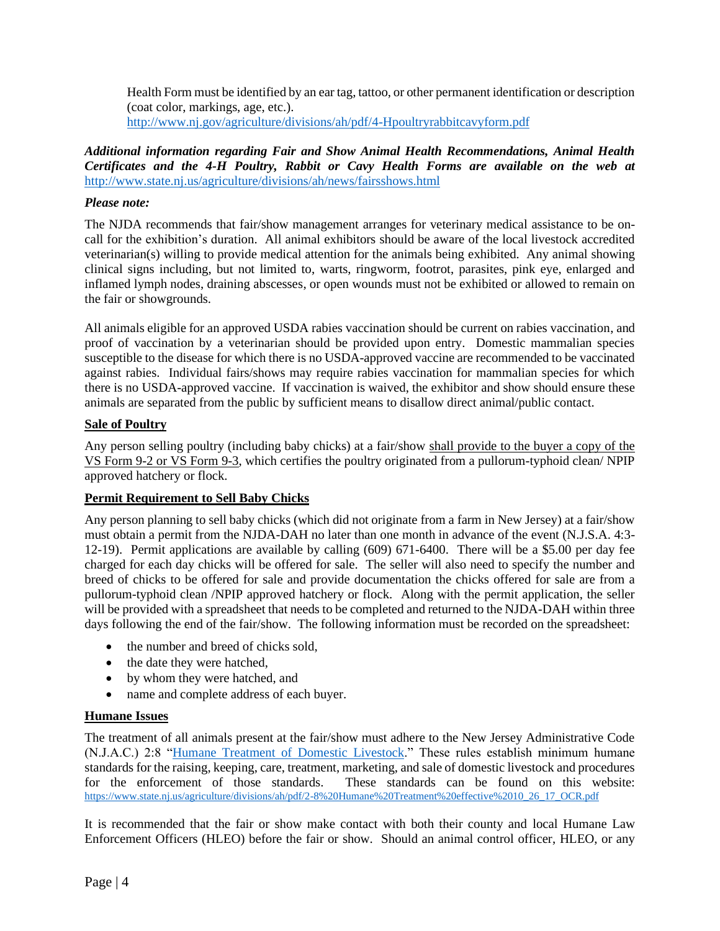Health Form must be identified by an ear tag, tattoo, or other permanent identification or description (coat color, markings, age, etc.). <http://www.nj.gov/agriculture/divisions/ah/pdf/4-Hpoultryrabbitcavyform.pdf>

*Additional information regarding Fair and Show Animal Health Recommendations, Animal Health Certificates and the 4-H Poultry, Rabbit or Cavy Health Forms are available on the web at* <http://www.state.nj.us/agriculture/divisions/ah/news/fairsshows.html>

## *Please note:*

The NJDA recommends that fair/show management arranges for veterinary medical assistance to be oncall for the exhibition's duration. All animal exhibitors should be aware of the local livestock accredited veterinarian(s) willing to provide medical attention for the animals being exhibited. Any animal showing clinical signs including, but not limited to, warts, ringworm, footrot, parasites, pink eye, enlarged and inflamed lymph nodes, draining abscesses, or open wounds must not be exhibited or allowed to remain on the fair or showgrounds.

All animals eligible for an approved USDA rabies vaccination should be current on rabies vaccination, and proof of vaccination by a veterinarian should be provided upon entry. Domestic mammalian species susceptible to the disease for which there is no USDA-approved vaccine are recommended to be vaccinated against rabies. Individual fairs/shows may require rabies vaccination for mammalian species for which there is no USDA-approved vaccine. If vaccination is waived, the exhibitor and show should ensure these animals are separated from the public by sufficient means to disallow direct animal/public contact.

## **Sale of Poultry**

Any person selling poultry (including baby chicks) at a fair/show shall provide to the buyer a copy of the VS Form 9-2 or VS Form 9-3, which certifies the poultry originated from a pullorum-typhoid clean/ NPIP approved hatchery or flock.

# **Permit Requirement to Sell Baby Chicks**

Any person planning to sell baby chicks (which did not originate from a farm in New Jersey) at a fair/show must obtain a permit from the NJDA-DAH no later than one month in advance of the event (N.J.S.A. 4:3- 12-19). Permit applications are available by calling (609) 671-6400. There will be a \$5.00 per day fee charged for each day chicks will be offered for sale. The seller will also need to specify the number and breed of chicks to be offered for sale and provide documentation the chicks offered for sale are from a pullorum-typhoid clean /NPIP approved hatchery or flock. Along with the permit application, the seller will be provided with a spreadsheet that needs to be completed and returned to the NJDA-DAH within three days following the end of the fair/show. The following information must be recorded on the spreadsheet:

- the number and breed of chicks sold,
- the date they were hatched,
- by whom they were hatched, and
- name and complete address of each buyer.

### **Humane Issues**

The treatment of all animals present at the fair/show must adhere to the New Jersey Administrative Code (N.J.A.C.) 2:8 ["Humane Treatment of Domestic Livestock.](https://www.state.nj.us/agriculture/divisions/ah/pdf/2-8%20Humane%20Treatment%20effective%2010_26_17_OCR.pdf)" These rules establish minimum humane standards for the raising, keeping, care, treatment, marketing, and sale of domestic livestock and procedures for the enforcement of those standards. These standards can be found on this website: [https://www.state.nj.us/agriculture/divisions/ah/pdf/2-8%20Humane%20Treatment%20effective%2010\\_26\\_17\\_OCR.pdf](https://www.state.nj.us/agriculture/divisions/ah/pdf/2-8%20Humane%20Treatment%20effective%2010_26_17_OCR.pdf)

It is recommended that the fair or show make contact with both their county and local Humane Law Enforcement Officers (HLEO) before the fair or show. Should an animal control officer, HLEO, or any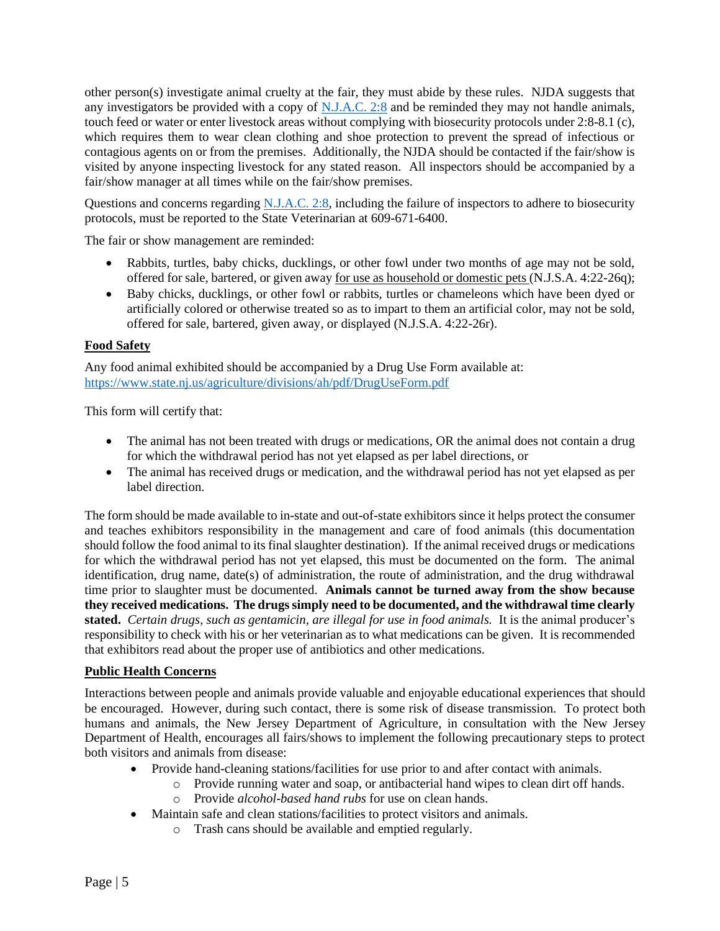other person(s) investigate animal cruelty at the fair, they must abide by these rules. NJDA suggests that any investigators be provided with a copy of [N.J.A.C. 2:8](https://www.state.nj.us/agriculture/divisions/ah/pdf/2-8%20Humane%20Treatment%20effective%2010_26_17_OCR.pdf) and be reminded they may not handle animals, touch feed or water or enter livestock areas without complying with biosecurity protocols under 2:8-8.1 (c), which requires them to wear clean clothing and shoe protection to prevent the spread of infectious or contagious agents on or from the premises. Additionally, the NJDA should be contacted if the fair/show is visited by anyone inspecting livestock for any stated reason. All inspectors should be accompanied by a fair/show manager at all times while on the fair/show premises.

Questions and concerns regarding [N.J.A.C. 2:8,](https://www.state.nj.us/agriculture/divisions/ah/pdf/2-8%20Humane%20Treatment%20effective%2010_26_17_OCR.pdf) including the failure of inspectors to adhere to biosecurity protocols, must be reported to the State Veterinarian at 609-671-6400.

The fair or show management are reminded:

- Rabbits, turtles, baby chicks, ducklings, or other fowl under two months of age may not be sold, offered for sale, bartered, or given away for use as household or domestic pets (N.J.S.A. 4:22-26q);
- Baby chicks, ducklings, or other fowl or rabbits, turtles or chameleons which have been dyed or artificially colored or otherwise treated so as to impart to them an artificial color, may not be sold, offered for sale, bartered, given away, or displayed (N.J.S.A. 4:22-26r).

## **Food Safety**

Any food animal exhibited should be accompanied by a Drug Use Form available at: https://www.state.nj.us/agriculture/divisions/ah/pdf/DrugUseForm.pdf

This form will certify that:

- The animal has not been treated with drugs or medications, OR the animal does not contain a drug for which the withdrawal period has not yet elapsed as per label directions, or
- The animal has received drugs or medication, and the withdrawal period has not yet elapsed as per label direction.

The form should be made available to in-state and out-of-state exhibitors since it helps protect the consumer and teaches exhibitors responsibility in the management and care of food animals (this documentation should follow the food animal to its final slaughter destination). If the animal received drugs or medications for which the withdrawal period has not yet elapsed, this must be documented on the form. The animal identification, drug name, date(s) of administration, the route of administration, and the drug withdrawal time prior to slaughter must be documented. **Animals cannot be turned away from the show because they received medications. The drugs simply need to be documented, and the withdrawal time clearly stated.** *Certain drugs, such as gentamicin, are illegal for use in food animals.* It is the animal producer's responsibility to check with his or her veterinarian as to what medications can be given. It is recommended that exhibitors read about the proper use of antibiotics and other medications.

### **Public Health Concerns**

Interactions between people and animals provide valuable and enjoyable educational experiences that should be encouraged. However, during such contact, there is some risk of disease transmission. To protect both humans and animals, the New Jersey Department of Agriculture, in consultation with the New Jersey Department of Health, encourages all fairs/shows to implement the following precautionary steps to protect both visitors and animals from disease:

- Provide hand-cleaning stations/facilities for use prior to and after contact with animals.
	- o Provide running water and soap, or antibacterial hand wipes to clean dirt off hands.
	- o Provide *alcohol-based hand rubs* for use on clean hands.
- Maintain safe and clean stations/facilities to protect visitors and animals.
	- o Trash cans should be available and emptied regularly.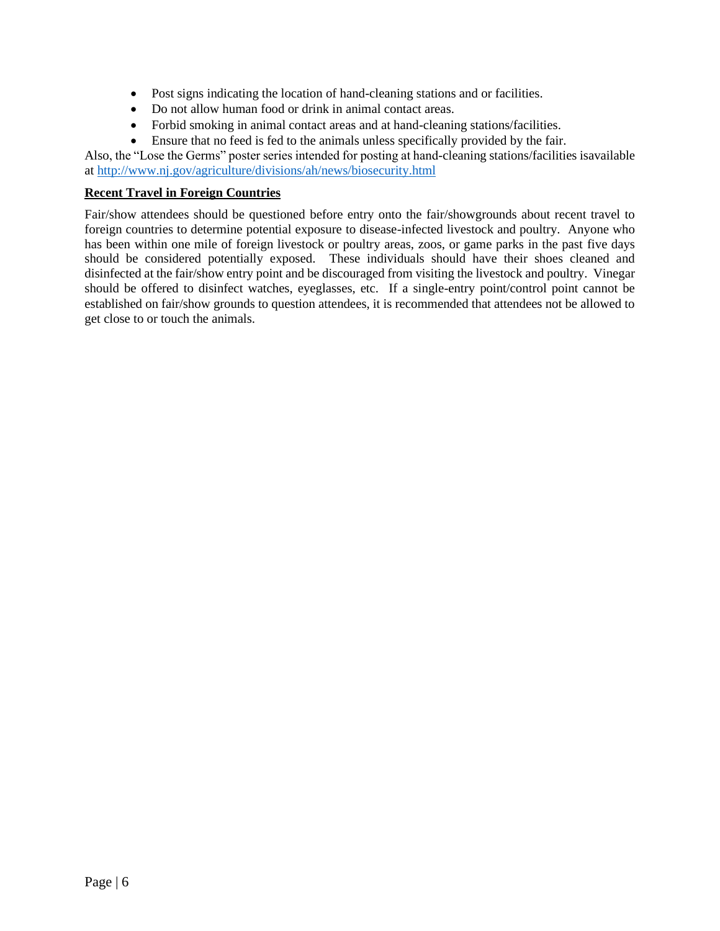- Post signs indicating the location of hand-cleaning stations and or facilities.
- Do not allow human food or drink in animal contact areas.
- Forbid smoking in animal contact areas and at hand-cleaning stations/facilities.
- Ensure that no feed is fed to the animals unless specifically provided by the fair.

Also, the "Lose the Germs" poster series intended for posting at hand-cleaning stations/facilities isavailable at <http://www.nj.gov/agriculture/divisions/ah/news/biosecurity.html>

### **Recent Travel in Foreign Countries**

Fair/show attendees should be questioned before entry onto the fair/showgrounds about recent travel to foreign countries to determine potential exposure to disease-infected livestock and poultry. Anyone who has been within one mile of foreign livestock or poultry areas, zoos, or game parks in the past five days should be considered potentially exposed. These individuals should have their shoes cleaned and disinfected at the fair/show entry point and be discouraged from visiting the livestock and poultry. Vinegar should be offered to disinfect watches, eyeglasses, etc. If a single-entry point/control point cannot be established on fair/show grounds to question attendees, it is recommended that attendees not be allowed to get close to or touch the animals.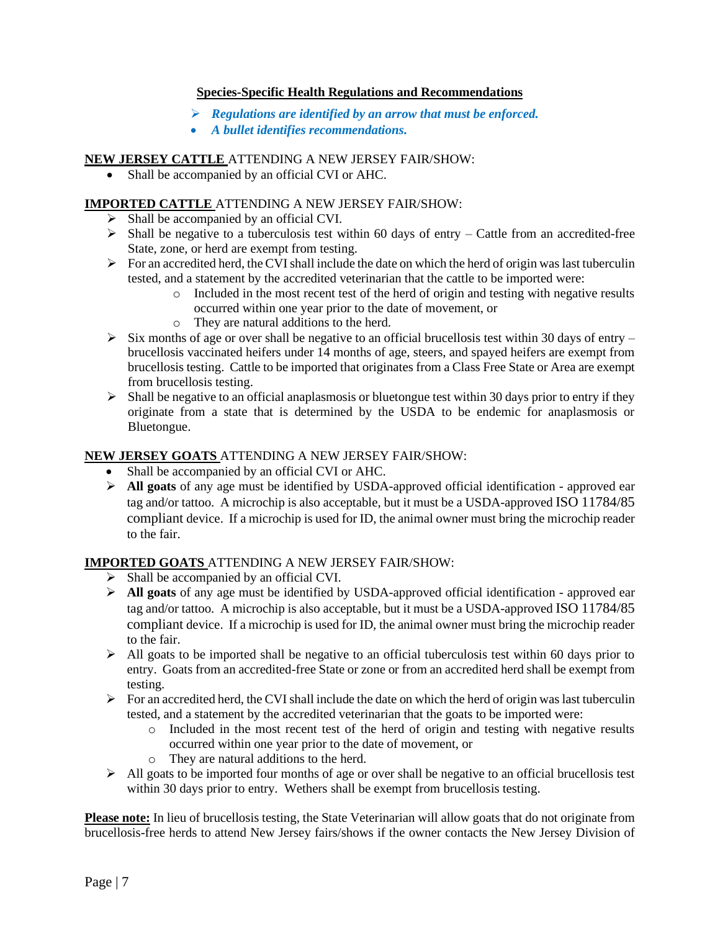## **Species-Specific Health Regulations and Recommendations**

- ➢ *Regulations are identified by an arrow that must be enforced.*
- *A bullet identifies recommendations.*

## **NEW JERSEY CATTLE** ATTENDING A NEW JERSEY FAIR/SHOW:

• Shall be accompanied by an official CVI or AHC.

## **IMPORTED CATTLE** ATTENDING A NEW JERSEY FAIR/SHOW:

- ➢ Shall be accompanied by an official CVI.
- $\triangleright$  Shall be negative to a tuberculosis test within 60 days of entry Cattle from an accredited-free State, zone, or herd are exempt from testing.
- $\triangleright$  For an accredited herd, the CVI shall include the date on which the herd of origin was last tuberculin tested, and a statement by the accredited veterinarian that the cattle to be imported were:
	- $\circ$  Included in the most recent test of the herd of origin and testing with negative results occurred within one year prior to the date of movement, or
	- o They are natural additions to the herd.
- $\triangleright$  Six months of age or over shall be negative to an official brucellosis test within 30 days of entry brucellosis vaccinated heifers under 14 months of age, steers, and spayed heifers are exempt from brucellosis testing. Cattle to be imported that originates from a Class Free State or Area are exempt from brucellosis testing.
- $\triangleright$  Shall be negative to an official anaplasmosis or bluetongue test within 30 days prior to entry if they originate from a state that is determined by the USDA to be endemic for anaplasmosis or Bluetongue.

## **NEW JERSEY GOATS** ATTENDING A NEW JERSEY FAIR/SHOW:

- Shall be accompanied by an official CVI or AHC.
- ➢ **All goats** of any age must be identified by USDA-approved official identification approved ear tag and/or tattoo. A microchip is also acceptable, but it must be a USDA-approved ISO 11784/85 compliant device. If a microchip is used for ID, the animal owner must bring the microchip reader to the fair.

### **IMPORTED GOATS** ATTENDING A NEW JERSEY FAIR/SHOW:

- ➢ Shall be accompanied by an official CVI.
- ➢ **All goats** of any age must be identified by USDA-approved official identification approved ear tag and/or tattoo. A microchip is also acceptable, but it must be a USDA-approved ISO 11784/85 compliant device. If a microchip is used for ID, the animal owner must bring the microchip reader to the fair.
- $\triangleright$  All goats to be imported shall be negative to an official tuberculosis test within 60 days prior to entry. Goats from an accredited-free State or zone or from an accredited herd shall be exempt from testing.
- $\triangleright$  For an accredited herd, the CVI shall include the date on which the herd of origin was last tuberculin tested, and a statement by the accredited veterinarian that the goats to be imported were:
	- o Included in the most recent test of the herd of origin and testing with negative results occurred within one year prior to the date of movement, or
	- o They are natural additions to the herd.
- $\triangleright$  All goats to be imported four months of age or over shall be negative to an official brucellosis test within 30 days prior to entry. Wethers shall be exempt from brucellosis testing.

**Please note:** In lieu of brucellosis testing, the State Veterinarian will allow goats that do not originate from brucellosis-free herds to attend New Jersey fairs/shows if the owner contacts the New Jersey Division of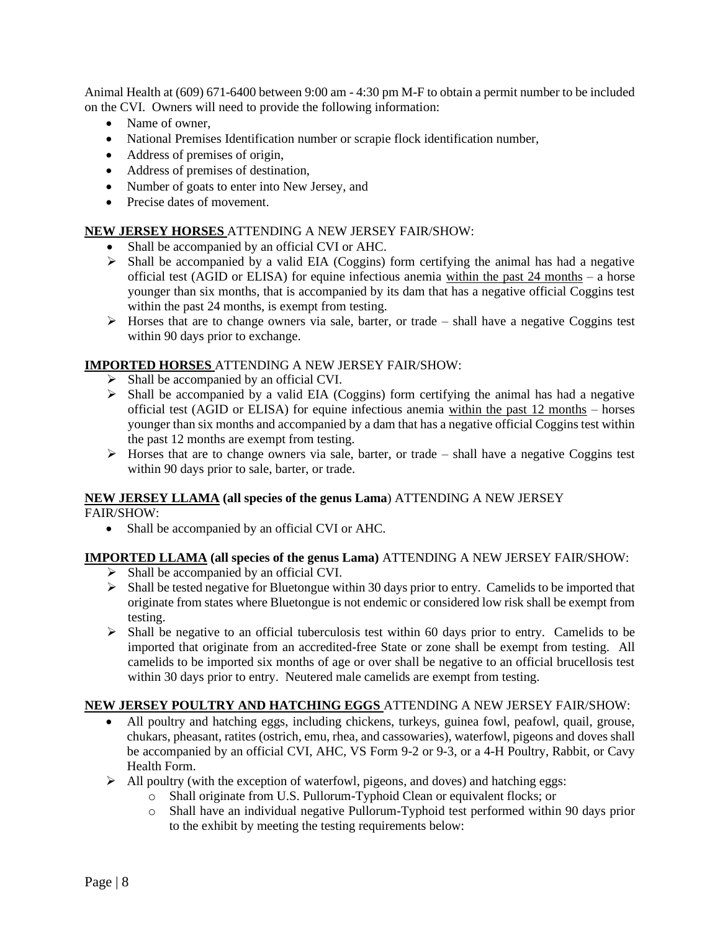Animal Health at (609) 671-6400 between 9:00 am - 4:30 pm M-F to obtain a permit number to be included on the CVI. Owners will need to provide the following information:

- Name of owner,
- National Premises Identification number or scrapie flock identification number,
- Address of premises of origin,
- Address of premises of destination,
- Number of goats to enter into New Jersey, and
- Precise dates of movement.

#### **NEW JERSEY HORSES** ATTENDING A NEW JERSEY FAIR/SHOW:

- Shall be accompanied by an official CVI or AHC.
- ➢ Shall be accompanied by a valid EIA (Coggins) form certifying the animal has had a negative official test (AGID or ELISA) for equine infectious anemia within the past 24 months – a horse younger than six months, that is accompanied by its dam that has a negative official Coggins test within the past 24 months, is exempt from testing.
- $\triangleright$  Horses that are to change owners via sale, barter, or trade shall have a negative Coggins test within 90 days prior to exchange.

### **IMPORTED HORSES** ATTENDING A NEW JERSEY FAIR/SHOW:

- ➢ Shall be accompanied by an official CVI.
- $\triangleright$  Shall be accompanied by a valid EIA (Coggins) form certifying the animal has had a negative official test (AGID or ELISA) for equine infectious anemia within the past 12 months – horses younger than six months and accompanied by a dam that has a negative official Coggins test within the past 12 months are exempt from testing.
- $\triangleright$  Horses that are to change owners via sale, barter, or trade shall have a negative Coggins test within 90 days prior to sale, barter, or trade.

### **NEW JERSEY LLAMA (all species of the genus Lama**) ATTENDING A NEW JERSEY

FAIR/SHOW:

• Shall be accompanied by an official CVI or AHC.

## **IMPORTED LLAMA (all species of the genus Lama)** ATTENDING A NEW JERSEY FAIR/SHOW:

- ➢ Shall be accompanied by an official CVI.
- ➢ Shall be tested negative for Bluetongue within 30 days prior to entry. Camelids to be imported that originate from states where Bluetongue is not endemic or considered low risk shall be exempt from testing.
- $\triangleright$  Shall be negative to an official tuberculosis test within 60 days prior to entry. Camelids to be imported that originate from an accredited-free State or zone shall be exempt from testing. All camelids to be imported six months of age or over shall be negative to an official brucellosis test within 30 days prior to entry. Neutered male camelids are exempt from testing.

### **NEW JERSEY POULTRY AND HATCHING EGGS** ATTENDING A NEW JERSEY FAIR/SHOW:

- All poultry and hatching eggs, including chickens, turkeys, guinea fowl, peafowl, quail, grouse, chukars, pheasant, ratites (ostrich, emu, rhea, and cassowaries), waterfowl, pigeons and doves shall be accompanied by an official CVI, AHC, VS Form 9-2 or 9-3, or a 4-H Poultry, Rabbit, or Cavy Health Form.
- $\triangleright$  All poultry (with the exception of waterfowl, pigeons, and doves) and hatching eggs:
	- o Shall originate from U.S. Pullorum-Typhoid Clean or equivalent flocks; or
	- o Shall have an individual negative Pullorum-Typhoid test performed within 90 days prior to the exhibit by meeting the testing requirements below: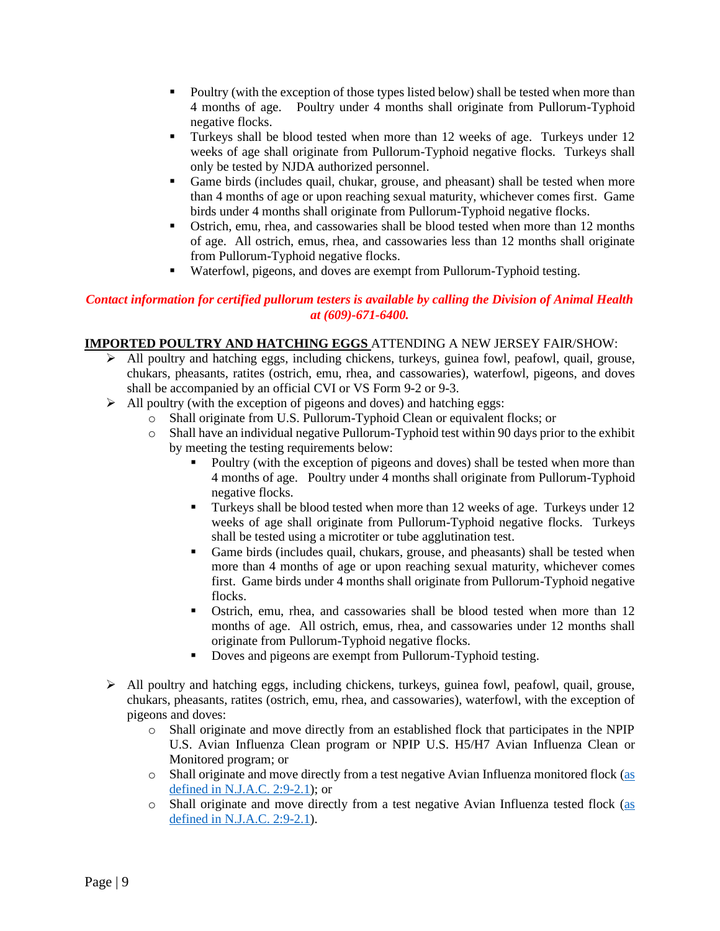- Poultry (with the exception of those types listed below) shall be tested when more than 4 months of age. Poultry under 4 months shall originate from Pullorum-Typhoid negative flocks.
- **Turkeys shall be blood tested when more than 12 weeks of age. Turkeys under 12** weeks of age shall originate from Pullorum-Typhoid negative flocks. Turkeys shall only be tested by NJDA authorized personnel.
- Game birds (includes quail, chukar, grouse, and pheasant) shall be tested when more than 4 months of age or upon reaching sexual maturity, whichever comes first. Game birds under 4 months shall originate from Pullorum-Typhoid negative flocks.
- Ostrich, emu, rhea, and cassowaries shall be blood tested when more than 12 months of age. All ostrich, emus, rhea, and cassowaries less than 12 months shall originate from Pullorum-Typhoid negative flocks.
- Waterfowl, pigeons, and doves are exempt from Pullorum-Typhoid testing.

## *Contact information for certified pullorum testers is available by calling the Division of Animal Health at (609)-671-6400.*

# **IMPORTED POULTRY AND HATCHING EGGS** ATTENDING A NEW JERSEY FAIR/SHOW:

- ➢ All poultry and hatching eggs, including chickens, turkeys, guinea fowl, peafowl, quail, grouse, chukars, pheasants, ratites (ostrich, emu, rhea, and cassowaries), waterfowl, pigeons, and doves shall be accompanied by an official CVI or VS Form 9-2 or 9-3.
- $\triangleright$  All poultry (with the exception of pigeons and doves) and hatching eggs:
	- o Shall originate from U.S. Pullorum-Typhoid Clean or equivalent flocks; or
		- o Shall have an individual negative Pullorum-Typhoid test within 90 days prior to the exhibit by meeting the testing requirements below:
			- Poultry (with the exception of pigeons and doves) shall be tested when more than 4 months of age. Poultry under 4 months shall originate from Pullorum-Typhoid negative flocks.
			- Turkeys shall be blood tested when more than 12 weeks of age. Turkeys under 12 weeks of age shall originate from Pullorum-Typhoid negative flocks. Turkeys shall be tested using a microtiter or tube agglutination test.
			- Game birds (includes quail, chukars, grouse, and pheasants) shall be tested when more than 4 months of age or upon reaching sexual maturity, whichever comes first. Game birds under 4 months shall originate from Pullorum-Typhoid negative flocks.
			- Ostrich, emu, rhea, and cassowaries shall be blood tested when more than 12 months of age. All ostrich, emus, rhea, and cassowaries under 12 months shall originate from Pullorum-Typhoid negative flocks.
			- Doves and pigeons are exempt from Pullorum-Typhoid testing.
- $\triangleright$  All poultry and hatching eggs, including chickens, turkeys, guinea fowl, peafowl, quail, grouse, chukars, pheasants, ratites (ostrich, emu, rhea, and cassowaries), waterfowl, with the exception of pigeons and doves:
	- o Shall originate and move directly from an established flock that participates in the NPIP U.S. Avian Influenza Clean program or NPIP U.S. H5/H7 Avian Influenza Clean or Monitored program; or
	- o Shall originate and move directly from a test negative Avian Influenza monitored flock [\(as](https://www.nj.gov/agriculture/divisions/ah/pdf/avianinfluenzaregs.pdf)  [defined in N.J.A.C. 2:9-2.1\)](https://www.nj.gov/agriculture/divisions/ah/pdf/avianinfluenzaregs.pdf); or
	- o Shall originate and move directly from a test negative Avian Influenza tested flock [\(as](https://www.nj.gov/agriculture/divisions/ah/pdf/avianinfluenzaregs.pdf)  [defined in N.J.A.C. 2:9-2.1\)](https://www.nj.gov/agriculture/divisions/ah/pdf/avianinfluenzaregs.pdf).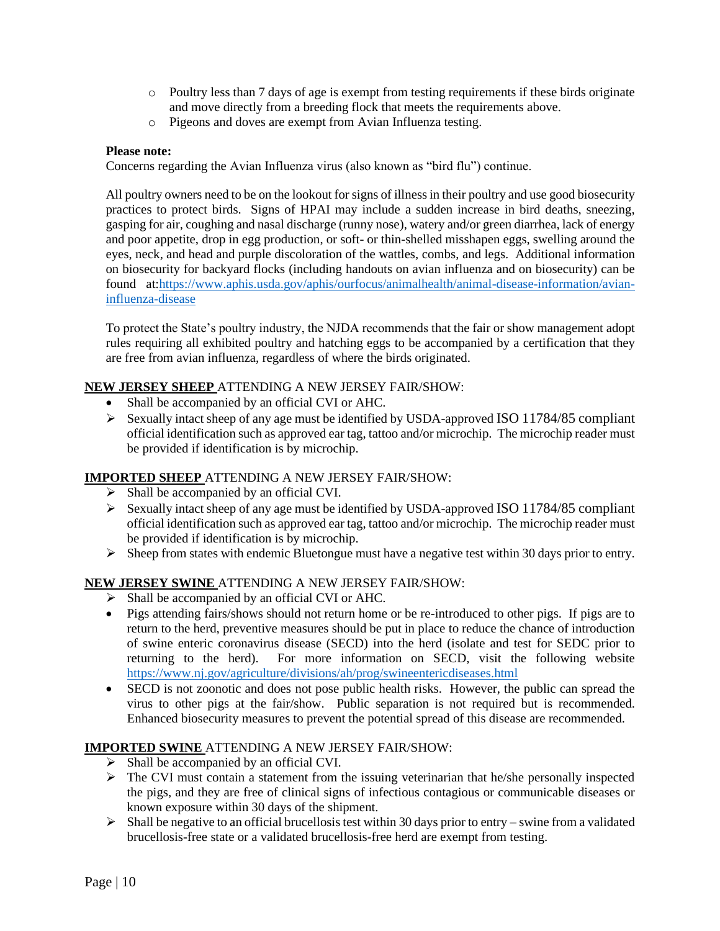- o Poultry less than 7 days of age is exempt from testing requirements if these birds originate and move directly from a breeding flock that meets the requirements above.
- o Pigeons and doves are exempt from Avian Influenza testing.

## **Please note:**

Concerns regarding the Avian Influenza virus (also known as "bird flu") continue.

All poultry owners need to be on the lookout for signs of illness in their poultry and use good biosecurity practices to protect birds. Signs of HPAI may include a sudden increase in bird deaths, sneezing, gasping for air, coughing and nasal discharge (runny nose), watery and/or green diarrhea, lack of energy and poor appetite, drop in egg production, or soft- or thin-shelled misshapen eggs, swelling around the eyes, neck, and head and purple discoloration of the wattles, combs, and legs. Additional information on biosecurity for backyard flocks (including handouts on avian influenza and on biosecurity) can be found at[:https://www.aphis.usda.gov/aphis/ourfocus/animalhealth/animal-disease-information/avian](https://www.aphis.usda.gov/aphis/ourfocus/animalhealth/animal-disease-information/avian-influenza-disease)[influenza-disease](https://www.aphis.usda.gov/aphis/ourfocus/animalhealth/animal-disease-information/avian-influenza-disease)

To protect the State's poultry industry, the NJDA recommends that the fair or show management adopt rules requiring all exhibited poultry and hatching eggs to be accompanied by a certification that they are free from avian influenza, regardless of where the birds originated.

## **NEW JERSEY SHEEP** ATTENDING A NEW JERSEY FAIR/SHOW:

- Shall be accompanied by an official CVI or AHC.
- $\triangleright$  Sexually intact sheep of any age must be identified by USDA-approved ISO 11784/85 compliant official identification such as approved ear tag, tattoo and/or microchip. The microchip reader must be provided if identification is by microchip.

# **IMPORTED SHEEP** ATTENDING A NEW JERSEY FAIR/SHOW:

- ➢ Shall be accompanied by an official CVI.
- ➢ Sexually intact sheep of any age must be identified by USDA-approved ISO 11784/85 compliant official identification such as approved ear tag, tattoo and/or microchip. The microchip reader must be provided if identification is by microchip.
- ➢ Sheep from states with endemic Bluetongue must have a negative test within 30 days prior to entry.

# **NEW JERSEY SWINE** ATTENDING A NEW JERSEY FAIR/SHOW:

- ➢ Shall be accompanied by an official CVI or AHC.
- Pigs attending fairs/shows should not return home or be re-introduced to other pigs. If pigs are to return to the herd, preventive measures should be put in place to reduce the chance of introduction of swine enteric coronavirus disease (SECD) into the herd (isolate and test for SEDC prior to returning to the herd). For more information on SECD, visit the following website <https://www.nj.gov/agriculture/divisions/ah/prog/swineentericdiseases.html>
- SECD is not zoonotic and does not pose public health risks. However, the public can spread the virus to other pigs at the fair/show. Public separation is not required but is recommended. Enhanced biosecurity measures to prevent the potential spread of this disease are recommended.

# **IMPORTED SWINE** ATTENDING A NEW JERSEY FAIR/SHOW:

- ➢ Shall be accompanied by an official CVI.
- ➢ The CVI must contain a statement from the issuing veterinarian that he/she personally inspected the pigs, and they are free of clinical signs of infectious contagious or communicable diseases or known exposure within 30 days of the shipment.
- $\triangleright$  Shall be negative to an official brucellosis test within 30 days prior to entry swine from a validated brucellosis-free state or a validated brucellosis-free herd are exempt from testing.